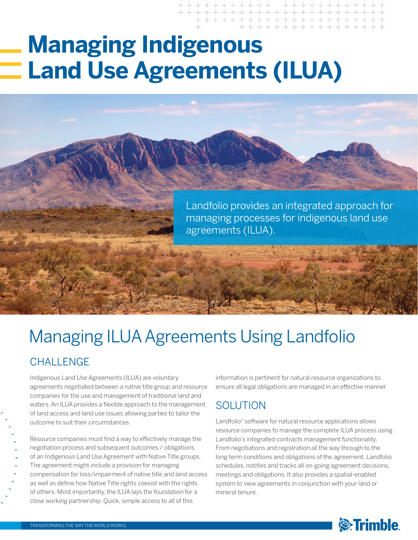# **Managing Indigenous Land Use Agreements (ILUA)**

Landfolio provides an integrated approach for managing processes for indigenous land use agreements (ILUA).

# CHALL FNGF Managing ILUA Agreements Using Landfolio

Indigenous Land Use Agreements (ILUA) are voluntary agreements negotiated between a native title group and resource companies for the use and management of traditional land and waters. An ILUA provides a flexible approach to the management of land access and land use issues allowing parties to tailor the outcome to suit their circumstances.

Resource companies must find a way to effectively manage the negotiation process and subsequent outcomes / obligations of an Indigenous Land Use Agreement with Native Title groups. The agreement might include a provision for managing compensation for loss/impairment of native title and land access as well as define how Native Title rights coexist with the rights of others. Most importantly, the ILUA lays the foundation for a close working partnership. Quick, simple access to all of this

information is pertinent for natural resource organizations to ensure all legal obligations are managed in an effective manner.

### SOLUTION

Landfolio® software for natural resource applications allows resource companies to manage the complete ILUA process using Landfolio's integrated contracts management functionality. From negotiations and registration all the way through to the long term conditions and obligations of the agreement, Landfolio schedules, notifies and tracks all on-going agreement decisions, meetings and obligations. It also provides a spatial-enabled system to view agreements in conjunction with your land or mineral tenure.